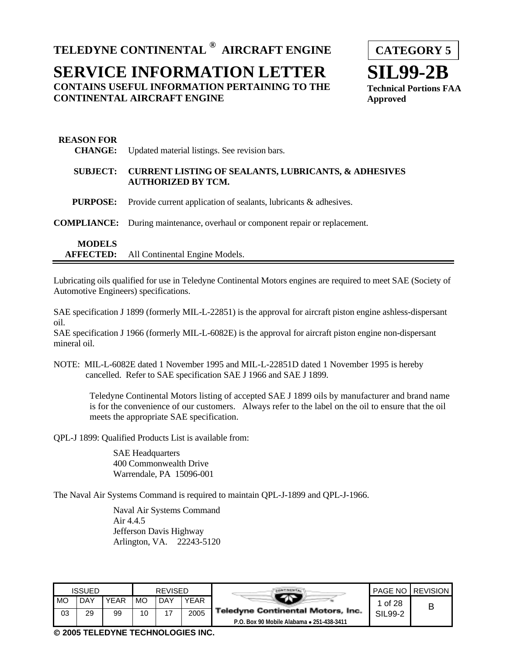**TELEDYNE CONTINENTAL ® AIRCRAFT ENGINE**

# **SERVICE INFORMATION LETTER CONTAINS USEFUL INFORMATION PERTAINING TO THE CONTINENTAL AIRCRAFT ENGINE**



| <b>REASON FOR</b><br><b>CHANGE:</b> | Updated material listings. See revision bars.                                                |
|-------------------------------------|----------------------------------------------------------------------------------------------|
| <b>SUBJECT:</b>                     | <b>CURRENT LISTING OF SEALANTS, LUBRICANTS, &amp; ADHESIVES</b><br><b>AUTHORIZED BY TCM.</b> |
| <b>PURPOSE:</b>                     | Provide current application of sealants, lubricants & adhesives.                             |
|                                     | <b>COMPLIANCE:</b> During maintenance, overhaul or component repair or replacement.          |
| <b>MODELS</b><br><b>AFFECTED:</b>   | All Continental Engine Models.                                                               |

Lubricating oils qualified for use in Teledyne Continental Motors engines are required to meet SAE (Society of Automotive Engineers) specifications.

SAE specification J 1899 (formerly MIL-L-22851) is the approval for aircraft piston engine ashless-dispersant oil.

SAE specification J 1966 (formerly MIL-L-6082E) is the approval for aircraft piston engine non-dispersant mineral oil.

NOTE: MIL-L-6082E dated 1 November 1995 and MIL-L-22851D dated 1 November 1995 is hereby cancelled. Refer to SAE specification SAE J 1966 and SAE J 1899.

Teledyne Continental Motors listing of accepted SAE J 1899 oils by manufacturer and brand name is for the convenience of our customers. Always refer to the label on the oil to ensure that the oil meets the appropriate SAE specification.

QPL-J 1899: Qualified Products List is available from:

SAE Headquarters 400 Commonwealth Drive Warrendale, PA 15096-001

The Naval Air Systems Command is required to maintain QPL-J-1899 and QPL-J-1966.

Naval Air Systems Command Air 4.4.5 Jefferson Davis Highway Arlington, VA. 22243-5120

|    | <b>ISSUED</b> |             |           | <b>REVISED</b> |             |                                           |         | <b>PAGE NO LREVISION</b> |
|----|---------------|-------------|-----------|----------------|-------------|-------------------------------------------|---------|--------------------------|
| MC | DAY           | <b>YEAR</b> | <b>MO</b> | DAY            | <b>YEAR</b> |                                           | 1 of 28 | В                        |
| 03 | 29            | 99          | 10        | $-1$           | 2005        | <b>Teledyne Continental Motors, Inc.</b>  | SIL99-2 |                          |
|    |               |             |           |                |             | P.O. Box 90 Mobile Alabama . 251-438-3411 |         |                          |

 **2005 TELEDYNE TECHNOLOGIES INC.**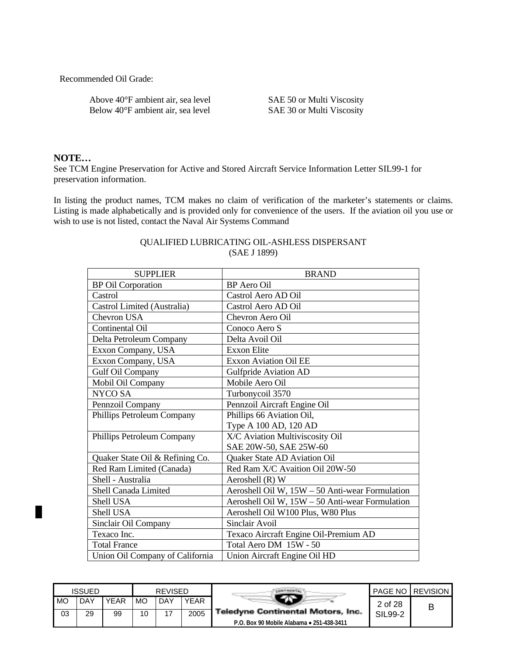Recommended Oil Grade:

Above 40°F ambient air, sea level SAE 50 or Multi Viscosity Below 40°F ambient air, sea level SAE 30 or Multi Viscosity

### **NOTE…**

ĸ

See TCM Engine Preservation for Active and Stored Aircraft Service Information Letter SIL99-1 for preservation information.

In listing the product names, TCM makes no claim of verification of the marketer's statements or claims. Listing is made alphabetically and is provided only for convenience of the users. If the aviation oil you use or wish to use is not listed, contact the Naval Air Systems Command

| <b>SUPPLIER</b>                 | <b>BRAND</b>                                    |
|---------------------------------|-------------------------------------------------|
| <b>BP</b> Oil Corporation       | <b>BP</b> Aero Oil                              |
| Castrol                         | Castrol Aero AD Oil                             |
| Castrol Limited (Australia)     | Castrol Aero AD Oil                             |
| Chevron USA                     | Chevron Aero Oil                                |
| Continental Oil                 | Conoco Aero S                                   |
| Delta Petroleum Company         | Delta Avoil Oil                                 |
| Exxon Company, USA              | <b>Exxon Elite</b>                              |
| Exxon Company, USA              | <b>Exxon Aviation Oil EE</b>                    |
| Gulf Oil Company                | <b>Gulfpride Aviation AD</b>                    |
| Mobil Oil Company               | Mobile Aero Oil                                 |
| NYCO SA                         | Turbonycoil 3570                                |
| Pennzoil Company                | Pennzoil Aircraft Engine Oil                    |
| Phillips Petroleum Company      | Phillips 66 Aviation Oil,                       |
|                                 | Type A 100 AD, 120 AD                           |
| Phillips Petroleum Company      | X/C Aviation Multiviscosity Oil                 |
|                                 | SAE 20W-50, SAE 25W-60                          |
| Quaker State Oil & Refining Co. | Quaker State AD Aviation Oil                    |
| Red Ram Limited (Canada)        | Red Ram X/C Avaition Oil 20W-50                 |
| Shell - Australia               | Aeroshell (R) W                                 |
| Shell Canada Limited            | Aeroshell Oil W, 15W - 50 Anti-wear Formulation |
| <b>Shell USA</b>                | Aeroshell Oil W, 15W - 50 Anti-wear Formulation |
| Shell USA                       | Aeroshell Oil W100 Plus, W80 Plus               |
| Sinclair Oil Company            | Sinclair Avoil                                  |
| Texaco Inc.                     | Texaco Aircraft Engine Oil-Premium AD           |
| <b>Total France</b>             | Total Aero DM 15W - 50                          |
| Union Oil Company of California | Union Aircraft Engine Oil HD                    |

### QUALIFIED LUBRICATING OIL-ASHLESS DISPERSANT (SAE J 1899)

|    | ISSUED |             |    | <b>REVISED</b> |      |                                           |         | <b>PAGE NO I REVISION</b> |
|----|--------|-------------|----|----------------|------|-------------------------------------------|---------|---------------------------|
| MO | DAY    | <b>YEAR</b> | MO | DAY            | YEAR |                                           | 2 of 28 | В                         |
| 03 | 29     | 99          | 10 | 17             | 2005 | <b>Teledyne Continental Motors, Inc.</b>  | SIL99-2 |                           |
|    |        |             |    |                |      | P.O. Box 90 Mobile Alabama • 251-438-3411 |         |                           |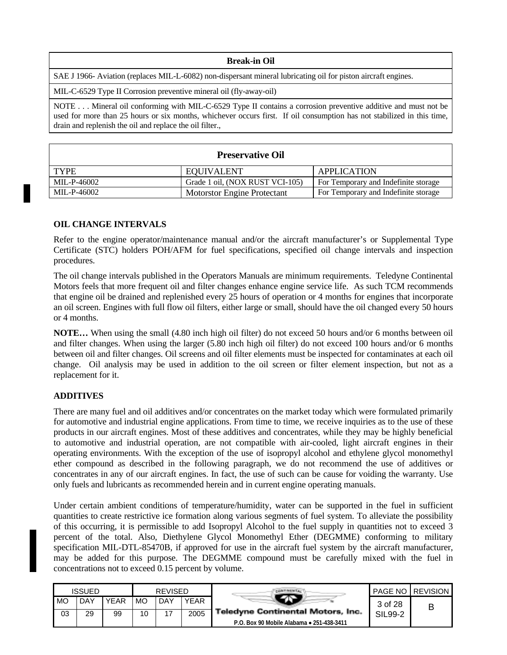#### **Break-in Oil**

SAE J 1966- Aviation (replaces MIL-L-6082) non-dispersant mineral lubricating oil for piston aircraft engines.

MIL-C-6529 Type II Corrosion preventive mineral oil (fly-away-oil)

NOTE . . . Mineral oil conforming with MIL-C-6529 Type II contains a corrosion preventive additive and must not be used for more than 25 hours or six months, whichever occurs first. If oil consumption has not stabilized in this time, drain and replenish the oil and replace the oil filter.,

### **Preservative Oil**

| <b>TYPE</b> | <b>EQUIVALENT</b>               | <b>APPLICATION</b>                   |
|-------------|---------------------------------|--------------------------------------|
| MIL-P-46002 | Grade 1 oil, (NOX RUST VCI-105) | For Temporary and Indefinite storage |
| MIL-P-46002 | Motorstor Engine Protectant     | For Temporary and Indefinite storage |

#### **OIL CHANGE INTERVALS**

Refer to the engine operator/maintenance manual and/or the aircraft manufacturer's or Supplemental Type Certificate (STC) holders POH/AFM for fuel specifications, specified oil change intervals and inspection procedures.

The oil change intervals published in the Operators Manuals are minimum requirements. Teledyne Continental Motors feels that more frequent oil and filter changes enhance engine service life. As such TCM recommends that engine oil be drained and replenished every 25 hours of operation or 4 months for engines that incorporate an oil screen. Engines with full flow oil filters, either large or small, should have the oil changed every 50 hours or 4 months.

**NOTE…** When using the small (4.80 inch high oil filter) do not exceed 50 hours and/or 6 months between oil and filter changes. When using the larger (5.80 inch high oil filter) do not exceed 100 hours and/or 6 months between oil and filter changes. Oil screens and oil filter elements must be inspected for contaminates at each oil change. Oil analysis may be used in addition to the oil screen or filter element inspection, but not as a replacement for it.

### **ADDITIVES**

There are many fuel and oil additives and/or concentrates on the market today which were formulated primarily for automotive and industrial engine applications. From time to time, we receive inquiries as to the use of these products in our aircraft engines. Most of these additives and concentrates, while they may be highly beneficial to automotive and industrial operation, are not compatible with air-cooled, light aircraft engines in their operating environments. With the exception of the use of isopropyl alcohol and ethylene glycol monomethyl ether compound as described in the following paragraph, we do not recommend the use of additives or concentrates in any of our aircraft engines. In fact, the use of such can be cause for voiding the warranty. Use only fuels and lubricants as recommended herein and in current engine operating manuals.

Under certain ambient conditions of temperature/humidity, water can be supported in the fuel in sufficient quantities to create restrictive ice formation along various segments of fuel system. To alleviate the possibility of this occurring, it is permissible to add Isopropyl Alcohol to the fuel supply in quantities not to exceed 3 percent of the total. Also, Diethylene Glycol Monomethyl Ether (DEGMME) conforming to military specification MIL-DTL-85470B, if approved for use in the aircraft fuel system by the aircraft manufacturer, may be added for this purpose. The DEGMME compound must be carefully mixed with the fuel in concentrations not to exceed 0.15 percent by volume.

|    | <b>ISSUED</b> |      |    | <b>REVISED</b> |             |                                           |         | <b>PAGE NO REVISION</b> |
|----|---------------|------|----|----------------|-------------|-------------------------------------------|---------|-------------------------|
| MO | DAY           | YEAR | MC | DAY            | <b>YEAR</b> |                                           | 3 of 28 | В                       |
| 03 | 29            | 99   | 10 | 17             | 2005        | <b>Teledyne Continental Motors, Inc.</b>  | SIL99-2 |                         |
|    |               |      |    |                |             | P.O. Box 90 Mobile Alabama • 251-438-3411 |         |                         |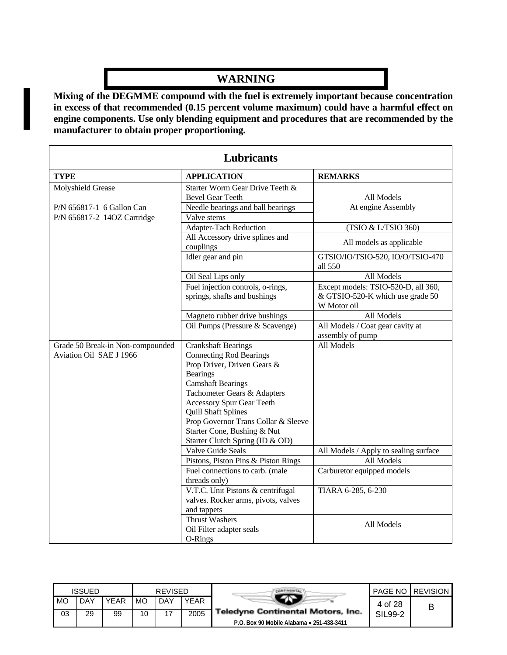# **WARNING**

**Mixing of the DEGMME compound with the fuel is extremely important because concentration in excess of that recommended (0.15 percent volume maximum) could have a harmful effect on engine components. Use only blending equipment and procedures that are recommended by the manufacturer to obtain proper proportioning.**

| Lubricants                                                                    |                                                                                                                                                                                                                                                                                                                                                                                  |                                                                                        |  |  |  |  |  |
|-------------------------------------------------------------------------------|----------------------------------------------------------------------------------------------------------------------------------------------------------------------------------------------------------------------------------------------------------------------------------------------------------------------------------------------------------------------------------|----------------------------------------------------------------------------------------|--|--|--|--|--|
| <b>TYPE</b>                                                                   | <b>APPLICATION</b>                                                                                                                                                                                                                                                                                                                                                               | <b>REMARKS</b>                                                                         |  |  |  |  |  |
| Molyshield Grease<br>P/N 656817-1 6 Gallon Can<br>P/N 656817-2 14OZ Cartridge | Starter Worm Gear Drive Teeth &<br><b>Bevel Gear Teeth</b><br>Needle bearings and ball bearings<br>Valve stems                                                                                                                                                                                                                                                                   | All Models<br>At engine Assembly                                                       |  |  |  |  |  |
|                                                                               | Adapter-Tach Reduction                                                                                                                                                                                                                                                                                                                                                           | (TSIO & L/TSIO 360)                                                                    |  |  |  |  |  |
|                                                                               | All Accessory drive splines and<br>couplings                                                                                                                                                                                                                                                                                                                                     | All models as applicable                                                               |  |  |  |  |  |
|                                                                               | Idler gear and pin                                                                                                                                                                                                                                                                                                                                                               | GTSIO/IO/TSIO-520, IO/O/TSIO-470<br>all 550                                            |  |  |  |  |  |
|                                                                               | Oil Seal Lips only                                                                                                                                                                                                                                                                                                                                                               | All Models                                                                             |  |  |  |  |  |
|                                                                               | Fuel injection controls, o-rings,<br>springs, shafts and bushings                                                                                                                                                                                                                                                                                                                | Except models: TSIO-520-D, all 360,<br>& GTSIO-520-K which use grade 50<br>W Motor oil |  |  |  |  |  |
|                                                                               | Magneto rubber drive bushings                                                                                                                                                                                                                                                                                                                                                    | All Models                                                                             |  |  |  |  |  |
|                                                                               | Oil Pumps (Pressure & Scavenge)                                                                                                                                                                                                                                                                                                                                                  | All Models / Coat gear cavity at<br>assembly of pump                                   |  |  |  |  |  |
| Grade 50 Break-in Non-compounded<br>Aviation Oil SAE J 1966                   | <b>Crankshaft Bearings</b><br><b>Connecting Rod Bearings</b><br>Prop Driver, Driven Gears &<br><b>Bearings</b><br><b>Camshaft Bearings</b><br>Tachometer Gears & Adapters<br><b>Accessory Spur Gear Teeth</b><br><b>Quill Shaft Splines</b><br>Prop Governor Trans Collar & Sleeve<br>Starter Cone, Bushing & Nut<br>Starter Clutch Spring (ID & OD)<br><b>Valve Guide Seals</b> | All Models<br>All Models / Apply to sealing surface                                    |  |  |  |  |  |
|                                                                               | Pistons, Piston Pins & Piston Rings                                                                                                                                                                                                                                                                                                                                              | All Models                                                                             |  |  |  |  |  |
|                                                                               | Fuel connections to carb. (male<br>threads only)                                                                                                                                                                                                                                                                                                                                 | Carburetor equipped models                                                             |  |  |  |  |  |
|                                                                               | V.T.C. Unit Pistons & centrifugal<br>valves. Rocker arms, pivots, valves<br>and tappets                                                                                                                                                                                                                                                                                          | TIARA 6-285, 6-230                                                                     |  |  |  |  |  |
|                                                                               | <b>Thrust Washers</b><br>Oil Filter adapter seals<br>O-Rings                                                                                                                                                                                                                                                                                                                     | All Models                                                                             |  |  |  |  |  |

|    | <b>ISSUED</b> |             |    | <b>REVISED</b> |             |                                           |         | <b>PAGE NO LREVISION</b> |
|----|---------------|-------------|----|----------------|-------------|-------------------------------------------|---------|--------------------------|
| MO | DAY           | <b>YEAR</b> | МO | . DAY          | <b>YEAR</b> |                                           | 4 of 28 |                          |
| 03 | 29            | 99          | 10 | ᅠ              | 2005        | <b>Teledyne Continental Motors, Inc.</b>  | SIL99-2 |                          |
|    |               |             |    |                |             | P.O. Box 90 Mobile Alabama • 251-438-3411 |         |                          |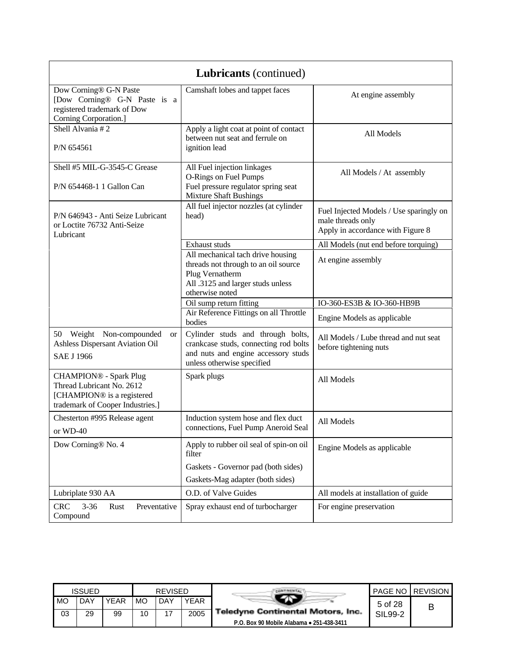|                                                                                                                              | <b>Lubricants</b> (continued)                                                                                                                        |                                                                                                   |
|------------------------------------------------------------------------------------------------------------------------------|------------------------------------------------------------------------------------------------------------------------------------------------------|---------------------------------------------------------------------------------------------------|
| Dow Corning® G-N Paste<br>[Dow Corning® G-N Paste is a<br>registered trademark of Dow<br>Corning Corporation.]               | Camshaft lobes and tappet faces                                                                                                                      | At engine assembly                                                                                |
| Shell Alvania #2<br>P/N 654561                                                                                               | Apply a light coat at point of contact<br>between nut seat and ferrule on<br>ignition lead                                                           | All Models                                                                                        |
| Shell #5 MIL-G-3545-C Grease<br>P/N 654468-1 1 Gallon Can                                                                    | All Fuel injection linkages<br>O-Rings on Fuel Pumps<br>Fuel pressure regulator spring seat<br><b>Mixture Shaft Bushings</b>                         | All Models / At assembly                                                                          |
| P/N 646943 - Anti Seize Lubricant<br>or Loctite 76732 Anti-Seize<br>Lubricant                                                | All fuel injector nozzles (at cylinder<br>head)                                                                                                      | Fuel Injected Models / Use sparingly on<br>male threads only<br>Apply in accordance with Figure 8 |
|                                                                                                                              | Exhaust studs                                                                                                                                        | All Models (nut end before torquing)                                                              |
|                                                                                                                              | All mechanical tach drive housing<br>threads not through to an oil source<br>Plug Vernatherm<br>All .3125 and larger studs unless<br>otherwise noted | At engine assembly                                                                                |
|                                                                                                                              | Oil sump return fitting                                                                                                                              | IO-360-ES3B & IO-360-HB9B                                                                         |
|                                                                                                                              | Air Reference Fittings on all Throttle<br>bodies                                                                                                     | Engine Models as applicable                                                                       |
| 50 Weight Non-compounded<br><b>or</b><br>Ashless Dispersant Aviation Oil<br><b>SAE J 1966</b>                                | Cylinder studs and through bolts,<br>crankcase studs, connecting rod bolts<br>and nuts and engine accessory studs<br>unless otherwise specified      | All Models / Lube thread and nut seat<br>before tightening nuts                                   |
| <b>CHAMPION®</b> - Spark Plug<br>Thread Lubricant No. 2612<br>[CHAMPION® is a registered<br>trademark of Cooper Industries.] | Spark plugs                                                                                                                                          | All Models                                                                                        |
| Chesterton #995 Release agent<br>or WD-40                                                                                    | Induction system hose and flex duct<br>connections, Fuel Pump Aneroid Seal                                                                           | All Models                                                                                        |
| Dow Corning® No. 4                                                                                                           | Apply to rubber oil seal of spin-on oil<br>filter                                                                                                    | Engine Models as applicable                                                                       |
|                                                                                                                              | Gaskets - Governor pad (both sides)                                                                                                                  |                                                                                                   |
|                                                                                                                              | Gaskets-Mag adapter (both sides)                                                                                                                     |                                                                                                   |
| Lubriplate 930 AA                                                                                                            | O.D. of Valve Guides                                                                                                                                 | All models at installation of guide                                                               |
| <b>CRC</b><br>$3 - 36$<br>Preventative<br>Rust<br>Compound                                                                   | Spray exhaust end of turbocharger                                                                                                                    | For engine preservation                                                                           |

|    | <b>ISSUED</b> |      |           | <b>REVISED</b> |             |                                           |         | <b>PAGE NO LREVISION</b> |
|----|---------------|------|-----------|----------------|-------------|-------------------------------------------|---------|--------------------------|
| MO | DAY           | YEAR | <b>MO</b> | DAY            | <b>YEAR</b> |                                           | 5 of 28 |                          |
| 03 | 29            | 99   | 10        | 17             | 2005        | <b>Teledyne Continental Motors, Inc.</b>  | SIL99-2 |                          |
|    |               |      |           |                |             | P.O. Box 90 Mobile Alabama • 251-438-3411 |         |                          |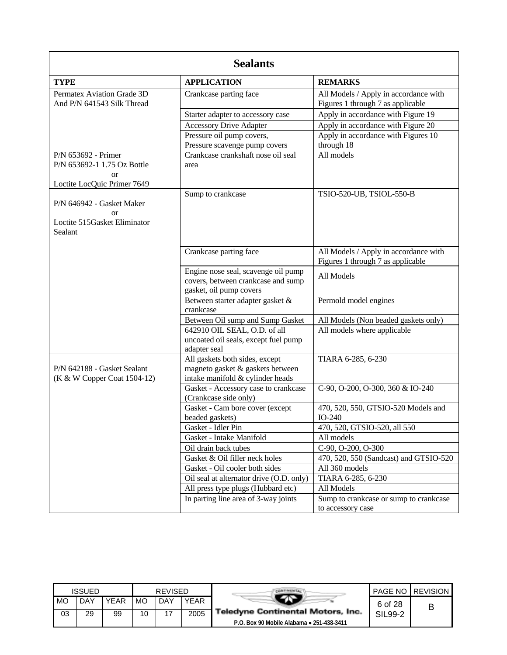| <b>Sealants</b>                                                                         |                                                                                                        |                                                                            |  |  |  |  |  |  |
|-----------------------------------------------------------------------------------------|--------------------------------------------------------------------------------------------------------|----------------------------------------------------------------------------|--|--|--|--|--|--|
| <b>TYPE</b>                                                                             | <b>APPLICATION</b>                                                                                     | <b>REMARKS</b>                                                             |  |  |  |  |  |  |
| Permatex Aviation Grade 3D<br>And P/N 641543 Silk Thread                                | Crankcase parting face                                                                                 | All Models / Apply in accordance with<br>Figures 1 through 7 as applicable |  |  |  |  |  |  |
|                                                                                         | Starter adapter to accessory case                                                                      | Apply in accordance with Figure 19                                         |  |  |  |  |  |  |
|                                                                                         | <b>Accessory Drive Adapter</b>                                                                         | Apply in accordance with Figure 20                                         |  |  |  |  |  |  |
|                                                                                         | Pressure oil pump covers,<br>Pressure scavenge pump covers                                             | Apply in accordance with Figures 10<br>through 18                          |  |  |  |  |  |  |
| P/N 653692 - Primer<br>P/N 653692-1 1.75 Oz Bottle<br>or<br>Loctite LocQuic Primer 7649 | Crankcase crankshaft nose oil seal<br>area                                                             | All models                                                                 |  |  |  |  |  |  |
| P/N 646942 - Gasket Maker<br>or<br>Loctite 515Gasket Eliminator<br>Sealant              | Sump to crankcase                                                                                      | TSIO-520-UB, TSIOL-550-B                                                   |  |  |  |  |  |  |
|                                                                                         | Crankcase parting face                                                                                 | All Models / Apply in accordance with<br>Figures 1 through 7 as applicable |  |  |  |  |  |  |
|                                                                                         | Engine nose seal, scavenge oil pump<br>covers, between crankcase and sump<br>gasket, oil pump covers   | All Models                                                                 |  |  |  |  |  |  |
|                                                                                         | Between starter adapter gasket &<br>crankcase                                                          | Permold model engines                                                      |  |  |  |  |  |  |
|                                                                                         | Between Oil sump and Sump Gasket                                                                       | All Models (Non beaded gaskets only)                                       |  |  |  |  |  |  |
|                                                                                         | 642910 OIL SEAL, O.D. of all<br>uncoated oil seals, except fuel pump<br>adapter seal                   | All models where applicable                                                |  |  |  |  |  |  |
| P/N 642188 - Gasket Sealant<br>(K & W Copper Coat 1504-12)                              | All gaskets both sides, except<br>magneto gasket & gaskets between<br>intake manifold & cylinder heads | TIARA 6-285, 6-230                                                         |  |  |  |  |  |  |
|                                                                                         | Gasket - Accessory case to crankcase<br>(Crankcase side only)                                          | C-90, O-200, O-300, 360 & IO-240                                           |  |  |  |  |  |  |
|                                                                                         | Gasket - Cam bore cover (except<br>beaded gaskets)                                                     | 470, 520, 550, GTSIO-520 Models and<br>$IO-240$                            |  |  |  |  |  |  |
|                                                                                         | Gasket - Idler Pin                                                                                     | 470, 520, GTSIO-520, all 550                                               |  |  |  |  |  |  |
|                                                                                         | Gasket - Intake Manifold                                                                               | All models                                                                 |  |  |  |  |  |  |
|                                                                                         | Oil drain back tubes                                                                                   | C-90, O-200, O-300                                                         |  |  |  |  |  |  |
|                                                                                         | Gasket & Oil filler neck holes                                                                         | 470, 520, 550 (Sandcast) and GTSIO-520                                     |  |  |  |  |  |  |
|                                                                                         | Gasket - Oil cooler both sides                                                                         | All 360 models                                                             |  |  |  |  |  |  |
|                                                                                         | Oil seal at alternator drive (O.D. only)                                                               | TIARA 6-285, 6-230                                                         |  |  |  |  |  |  |
|                                                                                         | All press type plugs (Hubbard etc)                                                                     | All Models                                                                 |  |  |  |  |  |  |
|                                                                                         | In parting line area of 3-way joints                                                                   | Sump to crankcase or sump to crankcase<br>to accessory case                |  |  |  |  |  |  |

|      | <b>ISSUED</b> |             |    | <b>REVISED</b> |             |                                           |         | <b>PAGE NO LREVISION</b> |
|------|---------------|-------------|----|----------------|-------------|-------------------------------------------|---------|--------------------------|
| I MO | <b>DAY</b>    | <b>YEAR</b> | MO | DAY            | <b>YEAR</b> |                                           | 6 of 28 |                          |
| 03   | 29            | 99          | 10 |                | 2005        | <b>Teledyne Continental Motors, Inc.</b>  | SIL99-2 |                          |
|      |               |             |    |                |             | P.O. Box 90 Mobile Alabama • 251-438-3411 |         |                          |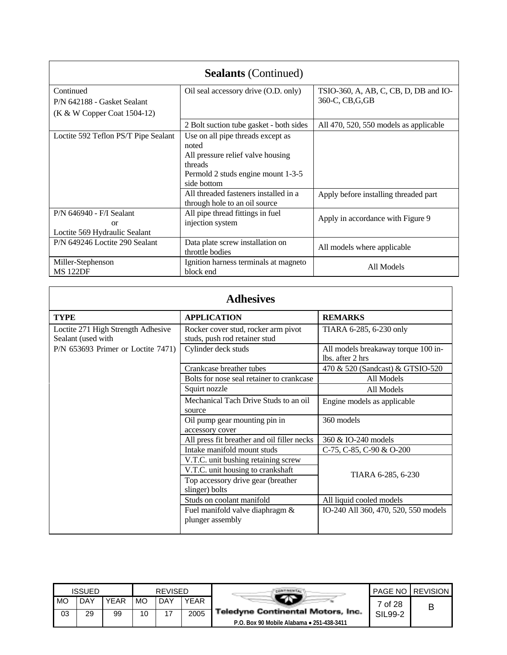| <b>Sealants</b> (Continued)          |                                         |                                        |  |  |  |  |  |  |  |
|--------------------------------------|-----------------------------------------|----------------------------------------|--|--|--|--|--|--|--|
| Continued                            | Oil seal accessory drive (O.D. only)    | TSIO-360, A, AB, C, CB, D, DB and IO-  |  |  |  |  |  |  |  |
| P/N 642188 - Gasket Sealant          |                                         | 360-C, CB, G, GB                       |  |  |  |  |  |  |  |
| (K & W Copper Coat 1504-12)          |                                         |                                        |  |  |  |  |  |  |  |
|                                      | 2 Bolt suction tube gasket - both sides | All 470, 520, 550 models as applicable |  |  |  |  |  |  |  |
| Loctite 592 Teflon PS/T Pipe Sealant | Use on all pipe threads except as       |                                        |  |  |  |  |  |  |  |
|                                      | noted                                   |                                        |  |  |  |  |  |  |  |
|                                      | All pressure relief valve housing       |                                        |  |  |  |  |  |  |  |
|                                      | threads                                 |                                        |  |  |  |  |  |  |  |
|                                      | Permold 2 studs engine mount 1-3-5      |                                        |  |  |  |  |  |  |  |
|                                      | side bottom                             |                                        |  |  |  |  |  |  |  |
|                                      | All threaded fasteners installed in a   | Apply before installing threaded part  |  |  |  |  |  |  |  |
|                                      | through hole to an oil source           |                                        |  |  |  |  |  |  |  |
| P/N 646940 - F/I Sealant             | All pipe thread fittings in fuel        |                                        |  |  |  |  |  |  |  |
| or                                   | injection system                        | Apply in accordance with Figure 9      |  |  |  |  |  |  |  |
| Loctite 569 Hydraulic Sealant        |                                         |                                        |  |  |  |  |  |  |  |
| P/N 649246 Loctite 290 Sealant       | Data plate screw installation on        |                                        |  |  |  |  |  |  |  |
|                                      | throttle bodies                         | All models where applicable            |  |  |  |  |  |  |  |
| Miller-Stephenson                    | Ignition harness terminals at magneto   | All Models                             |  |  |  |  |  |  |  |
| <b>MS 122DF</b>                      | block end                               |                                        |  |  |  |  |  |  |  |

| <b>Adhesives</b>                                         |                                                                      |                                                         |  |  |  |  |  |  |  |
|----------------------------------------------------------|----------------------------------------------------------------------|---------------------------------------------------------|--|--|--|--|--|--|--|
| <b>TYPE</b>                                              | <b>APPLICATION</b>                                                   | <b>REMARKS</b>                                          |  |  |  |  |  |  |  |
| Loctite 271 High Strength Adhesive<br>Sealant (used with | Rocker cover stud, rocker arm pivot<br>studs, push rod retainer stud | TIARA 6-285, 6-230 only                                 |  |  |  |  |  |  |  |
| P/N 653693 Primer or Loctite 7471)                       | Cylinder deck studs                                                  | All models breakaway torque 100 in-<br>lbs. after 2 hrs |  |  |  |  |  |  |  |
|                                                          | Crankcase breather tubes                                             | 470 & 520 (Sandcast) & GTSIO-520                        |  |  |  |  |  |  |  |
|                                                          | Bolts for nose seal retainer to crankcase                            | All Models                                              |  |  |  |  |  |  |  |
|                                                          | Squirt nozzle                                                        | All Models                                              |  |  |  |  |  |  |  |
|                                                          | Mechanical Tach Drive Studs to an oil<br>source                      | Engine models as applicable                             |  |  |  |  |  |  |  |
|                                                          | Oil pump gear mounting pin in<br>accessory cover                     | 360 models                                              |  |  |  |  |  |  |  |
|                                                          | All press fit breather and oil filler necks                          | 360 & IO-240 models                                     |  |  |  |  |  |  |  |
|                                                          | Intake manifold mount studs                                          | C-75, C-85, C-90 & O-200                                |  |  |  |  |  |  |  |
|                                                          | V.T.C. unit bushing retaining screw                                  |                                                         |  |  |  |  |  |  |  |
|                                                          | V.T.C. unit housing to crankshaft                                    |                                                         |  |  |  |  |  |  |  |
|                                                          | Top accessory drive gear (breather<br>slinger) bolts                 | TIARA 6-285, 6-230                                      |  |  |  |  |  |  |  |
|                                                          | Studs on coolant manifold                                            | All liquid cooled models                                |  |  |  |  |  |  |  |
|                                                          | Fuel manifold valve diaphragm &<br>plunger assembly                  | IO-240 All 360, 470, 520, 550 models                    |  |  |  |  |  |  |  |

|    | <b>ISSUED</b> |      | <b>REVISED</b> |     |      |                                           | PAGE NO | <b>REVISION</b> |
|----|---------------|------|----------------|-----|------|-------------------------------------------|---------|-----------------|
| MO | <b>DAY</b>    | YEAR | МO             | DAY | YEAR |                                           | 7 of 28 | B               |
| 03 | 29            | 99   | 10             | 17  | 2005 | <b>Teledyne Continental Motors, Inc.</b>  | SIL99-2 |                 |
|    |               |      |                |     |      | P.O. Box 90 Mobile Alabama • 251-438-3411 |         |                 |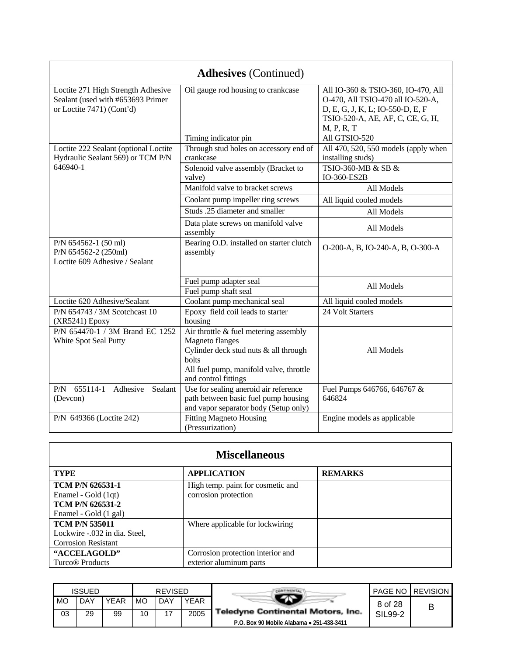|                                                                                                      | <b>Adhesives</b> (Continued)                                                                                                                                                            |                                                                                                                                                               |
|------------------------------------------------------------------------------------------------------|-----------------------------------------------------------------------------------------------------------------------------------------------------------------------------------------|---------------------------------------------------------------------------------------------------------------------------------------------------------------|
| Loctite 271 High Strength Adhesive<br>Sealant (used with #653693 Primer<br>or Loctite 7471) (Cont'd) | Oil gauge rod housing to crankcase                                                                                                                                                      | All IO-360 & TSIO-360, IO-470, All<br>O-470, All TSIO-470 all IO-520-A,<br>D, E, G, J, K, L; IO-550-D, E, F<br>TSIO-520-A, AE, AF, C, CE, G, H,<br>M, P, R, T |
|                                                                                                      | Timing indicator pin                                                                                                                                                                    | All GTSIO-520                                                                                                                                                 |
| Loctite 222 Sealant (optional Loctite<br>Hydraulic Sealant 569) or TCM P/N                           | Through stud holes on accessory end of<br>crankcase                                                                                                                                     | All 470, 520, 550 models (apply when<br>installing studs)                                                                                                     |
| 646940-1                                                                                             | Solenoid valve assembly (Bracket to<br>valve)                                                                                                                                           | TSIO-360-MB & SB &<br>IO-360-ES2B                                                                                                                             |
|                                                                                                      | Manifold valve to bracket screws                                                                                                                                                        | All Models                                                                                                                                                    |
|                                                                                                      | Coolant pump impeller ring screws                                                                                                                                                       | All liquid cooled models                                                                                                                                      |
|                                                                                                      | Studs .25 diameter and smaller                                                                                                                                                          | All Models                                                                                                                                                    |
|                                                                                                      | Data plate screws on manifold valve<br>assembly                                                                                                                                         | All Models                                                                                                                                                    |
| P/N 654562-1 (50 ml)<br>P/N 654562-2 (250ml)<br>Loctite 609 Adhesive / Sealant                       | Bearing O.D. installed on starter clutch<br>assembly                                                                                                                                    | O-200-A, B, IO-240-A, B, O-300-A                                                                                                                              |
|                                                                                                      | Fuel pump adapter seal                                                                                                                                                                  |                                                                                                                                                               |
|                                                                                                      | Fuel pump shaft seal                                                                                                                                                                    | All Models                                                                                                                                                    |
| Loctite 620 Adhesive/Sealant                                                                         | Coolant pump mechanical seal                                                                                                                                                            | All liquid cooled models                                                                                                                                      |
| P/N 654743 / 3M Scotchcast 10<br>(XR5241) Epoxy                                                      | Epoxy field coil leads to starter<br>housing                                                                                                                                            | 24 Volt Starters                                                                                                                                              |
| P/N 654470-1 / 3M Brand EC 1252<br>White Spot Seal Putty                                             | Air throttle $\&$ fuel metering assembly<br><b>Magneto</b> flanges<br>Cylinder deck stud nuts & all through<br>bolts<br>All fuel pump, manifold valve, throttle<br>and control fittings | All Models                                                                                                                                                    |
| 655114-1<br>Adhesive<br>P/N<br>Sealant<br>(Devcon)                                                   | Use for sealing aneroid air reference<br>path between basic fuel pump housing<br>and vapor separator body (Setup only)                                                                  | Fuel Pumps 646766, 646767 &<br>646824                                                                                                                         |
| P/N 649366 (Loctite 242)                                                                             | <b>Fitting Magneto Housing</b><br>(Pressurization)                                                                                                                                      | Engine models as applicable                                                                                                                                   |

| <b>Miscellaneous</b>                                                                               |                                                              |                |  |  |  |  |  |  |
|----------------------------------------------------------------------------------------------------|--------------------------------------------------------------|----------------|--|--|--|--|--|--|
| <b>TYPE</b>                                                                                        | <b>APPLICATION</b>                                           | <b>REMARKS</b> |  |  |  |  |  |  |
| <b>TCM P/N 626531-1</b><br>Enamel - Gold (1qt)<br><b>TCM P/N 626531-2</b><br>Enamel - Gold (1 gal) | High temp. paint for cosmetic and<br>corrosion protection    |                |  |  |  |  |  |  |
| <b>TCM P/N 535011</b><br>Lockwire -.032 in dia. Steel,<br><b>Corrosion Resistant</b>               | Where applicable for lockwiring                              |                |  |  |  |  |  |  |
| "ACCELAGOLD"<br>Turco <sup>®</sup> Products                                                        | Corrosion protection interior and<br>exterior aluminum parts |                |  |  |  |  |  |  |

|    | <b>ISSUED</b> |      |    | <b>REVISED</b> |      |                                           |         | <b>PAGE NO LREVISION</b> |
|----|---------------|------|----|----------------|------|-------------------------------------------|---------|--------------------------|
| MO | DAY           | YEAR | MO | <b>DAY</b>     | YEAR |                                           | 8 of 28 |                          |
| 03 | 29            | 99   | 10 | 17             | 2005 | <b>Teledyne Continental Motors, Inc.</b>  | SIL99-2 |                          |
|    |               |      |    |                |      | P.O. Box 90 Mobile Alabama • 251-438-3411 |         |                          |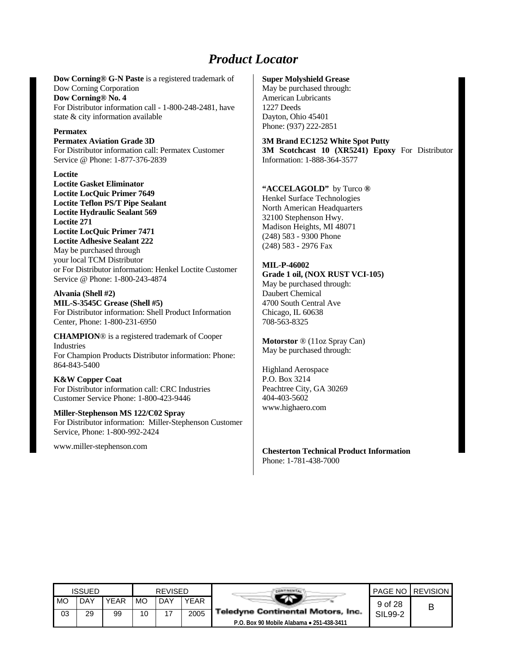# *Product Locator*

**Dow Corning® G-N Paste** is a registered trademark of Dow Corning Corporation **Dow Corning® No. 4** For Distributor information call - 1-800-248-2481, have state & city information available

#### **Permatex**

**Permatex Aviation Grade 3D** For Distributor information call: Permatex Customer Service @ Phone: 1-877-376-2839

#### **Loctite**

**Loctite Gasket Eliminator Loctite LocQuic Primer 7649 Loctite Teflon PS/T Pipe Sealant Loctite Hydraulic Sealant 569 Loctite 271 Loctite LocQuic Primer 7471 Loctite Adhesive Sealant 222** May be purchased through your local TCM Distributor or For Distributor information: Henkel Loctite Customer Service @ Phone: 1-800-243-4874

#### **Alvania (Shell #2) MIL-S-3545C Grease (Shell #5)** For Distributor information: Shell Product Information Center, Phone: 1-800-231-6950

**CHAMPION**® is a registered trademark of Cooper Industries For Champion Products Distributor information: Phone: 864-843-5400

#### **K&W Copper Coat**

For Distributor information call: CRC Industries Customer Service Phone: 1-800-423-9446

**Miller-Stephenson MS 122/C02 Spray** For Distributor information: Miller-Stephenson Customer Service, Phone: 1-800-992-2424

www.miller-stephenson.com

#### **Super Molyshield Grease**

May be purchased through: American Lubricants 1227 Deeds Dayton, Ohio 45401 Phone: (937) 222-2851

#### **3M Brand EC1252 White Spot Putty**

3M Scotchcast 10 (XR5241) Epoxy For Distributor Information: 1-888-364-3577

#### **"ACCELAGOLD"** by Turco **®**

Henkel Surface Technologies North American Headquarters 32100 Stephenson Hwy. Madison Heights, MI 48071 (248) 583 - 9300 Phone (248) 583 - 2976 Fax

#### **MIL-P-46002**

**Grade 1 oil, (NOX RUST VCI-105)** May be purchased through: Daubert Chemical 4700 South Central Ave Chicago, IL 60638 708-563-8325

**Motorstor** ® (11oz Spray Can) May be purchased through:

Highland Aerospace P.O. Box 3214 Peachtree City, GA 30269 404-403-5602 www.highaero.com

**Chesterton Technical Product Information** Phone: 1-781-438-7000

|           | ISSUED |             | <b>REVISED</b> |     |             |                                           |         | <b>PAGE NO REVISION</b> |
|-----------|--------|-------------|----------------|-----|-------------|-------------------------------------------|---------|-------------------------|
| <b>MO</b> | DAY    | <b>YEAR</b> | <b>MO</b>      | DAY | <b>YEAR</b> |                                           | 9 of 28 | В                       |
| 03        | 29     | 99          | 10             | 17  | 2005        | <b>Teledyne Continental Motors, Inc.</b>  | SIL99-2 |                         |
|           |        |             |                |     |             | P.O. Box 90 Mobile Alabama • 251-438-3411 |         |                         |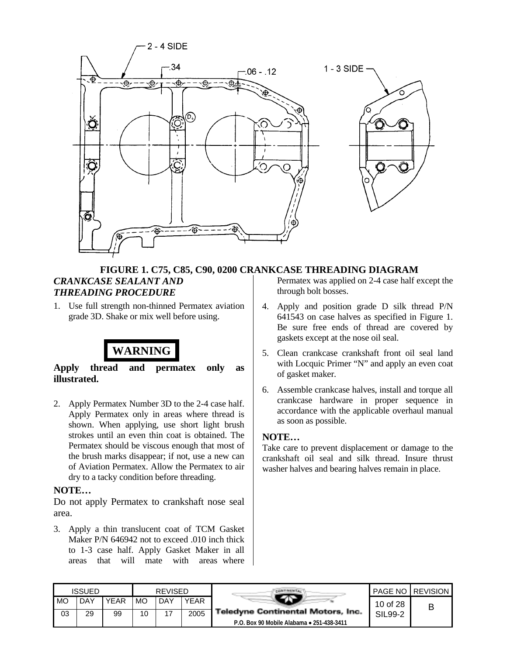

### **FIGURE 1. C75, C85, C90, 0200 CRANKCASE THREADING DIAGRAM**

#### *CRANKCASE SEALANT AND THREADING PROCEDURE*

1. Use full strength non-thinned Permatex aviation grade 3D. Shake or mix well before using.

# **WARNING**

**Apply thread and permatex only as illustrated.**

2. Apply Permatex Number 3D to the 2-4 case half. Apply Permatex only in areas where thread is shown. When applying, use short light brush strokes until an even thin coat is obtained. The Permatex should be viscous enough that most of the brush marks disappear; if not, use a new can of Aviation Permatex. Allow the Permatex to air dry to a tacky condition before threading.

### **NOTE…**

Do not apply Permatex to crankshaft nose seal area.

3. Apply a thin translucent coat of TCM Gasket Maker P/N 646942 not to exceed .010 inch thick to 1-3 case half. Apply Gasket Maker in all areas that will mate with areas where

Permatex was applied on 2-4 case half except the through bolt bosses.

- 4. Apply and position grade D silk thread P/N 641543 on case halves as specified in Figure 1. Be sure free ends of thread are covered by gaskets except at the nose oil seal.
- 5. Clean crankcase crankshaft front oil seal land with Locquic Primer "N" and apply an even coat of gasket maker.
- 6. Assemble crankcase halves, install and torque all crankcase hardware in proper sequence in accordance with the applicable overhaul manual as soon as possible.

### **NOTE…**

|    | <b>ISSUED</b> |             |    | <b>REVISED</b> |      |                                           |          | <b>PAGE NO REVISION</b> |
|----|---------------|-------------|----|----------------|------|-------------------------------------------|----------|-------------------------|
| MO | DAY           | <b>YEAR</b> | MO | <b>DAY</b>     | YEAR |                                           | 10 of 28 |                         |
| 03 | 29            | 99          | 10 | $\overline{ }$ | 2005 | <b>Teledyne Continental Motors, Inc.</b>  | SIL99-2  |                         |
|    |               |             |    |                |      | P.O. Box 90 Mobile Alabama • 251-438-3411 |          |                         |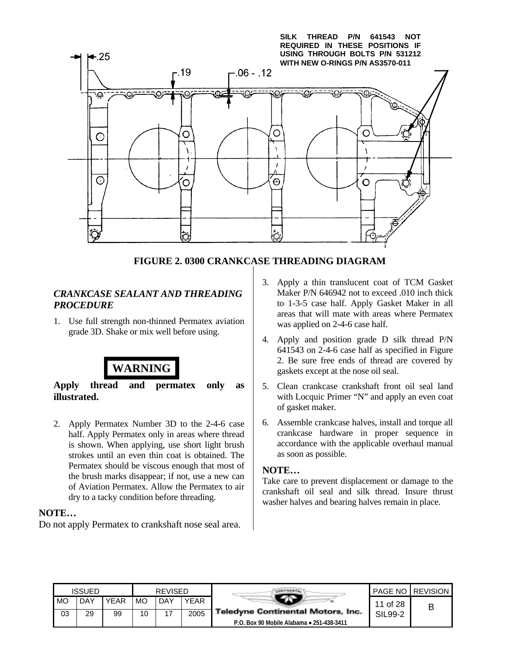

# **FIGURE 2. 0300 CRANKCASE THREADING DIAGRAM**

### *CRANKCASE SEALANT AND THREADING PROCEDURE*

1. Use full strength non-thinned Permatex aviation grade 3D. Shake or mix well before using.



**Apply thread and permatex only as illustrated.**

2. Apply Permatex Number 3D to the 2-4-6 case half. Apply Permatex only in areas where thread is shown. When applying, use short light brush strokes until an even thin coat is obtained. The Permatex should be viscous enough that most of the brush marks disappear; if not, use a new can of Aviation Permatex. Allow the Permatex to air dry to a tacky condition before threading.

### **NOTE…**

Do not apply Permatex to crankshaft nose seal area.

- 3. Apply a thin translucent coat of TCM Gasket Maker P/N 646942 not to exceed .010 inch thick to 1-3-5 case half. Apply Gasket Maker in all areas that will mate with areas where Permatex was applied on 2-4-6 case half.
- 4. Apply and position grade D silk thread P/N 641543 on 2-4-6 case half as specified in Figure 2. Be sure free ends of thread are covered by gaskets except at the nose oil seal.
- 5. Clean crankcase crankshaft front oil seal land with Locquic Primer "N" and apply an even coat of gasket maker.
- 6. Assemble crankcase halves, install and torque all crankcase hardware in proper sequence in accordance with the applicable overhaul manual as soon as possible.

#### **NOTE…**

|    | <b>ISSUED</b> |      |           | <b>REVISED</b> |      |                                           |          | <b>PAGE NO REVISION</b> |
|----|---------------|------|-----------|----------------|------|-------------------------------------------|----------|-------------------------|
| MO | DAY           | YEAR | <b>MO</b> | <b>DAY</b>     | YEAR |                                           | 11 of 28 | В                       |
| 03 | 29            | 99   | 10        |                | 2005 | <b>Teledyne Continental Motors, Inc.</b>  | SIL99-2  |                         |
|    |               |      |           |                |      | P.O. Box 90 Mobile Alabama . 251-438-3411 |          |                         |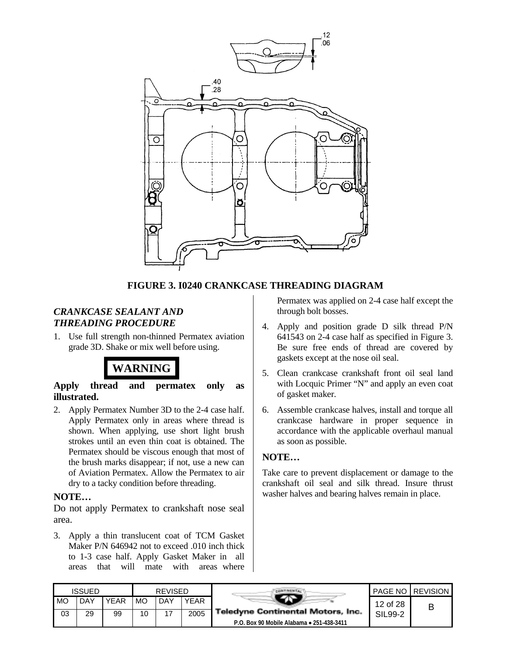

### **FIGURE 3. I0240 CRANKCASE THREADING DIAGRAM**

### *CRANKCASE SEALANT AND THREADING PROCEDURE*

1. Use full strength non-thinned Permatex aviation grade 3D. Shake or mix well before using.



**Apply thread and permatex only as illustrated.**

2. Apply Permatex Number 3D to the 2-4 case half. Apply Permatex only in areas where thread is shown. When applying, use short light brush strokes until an even thin coat is obtained. The Permatex should be viscous enough that most of the brush marks disappear; if not, use a new can of Aviation Permatex. Allow the Permatex to air dry to a tacky condition before threading.

### **NOTE…**

Do not apply Permatex to crankshaft nose seal area.

3. Apply a thin translucent coat of TCM Gasket Maker P/N 646942 not to exceed .010 inch thick to 1-3 case half. Apply Gasket Maker in all areas that will mate with areas where Permatex was applied on 2-4 case half except the through bolt bosses.

- 4. Apply and position grade D silk thread P/N 641543 on 2-4 case half as specified in Figure 3. Be sure free ends of thread are covered by gaskets except at the nose oil seal.
- 5. Clean crankcase crankshaft front oil seal land with Locquic Primer "N" and apply an even coat of gasket maker.
- 6. Assemble crankcase halves, install and torque all crankcase hardware in proper sequence in accordance with the applicable overhaul manual as soon as possible.

### **NOTE…**

|    | <b>ISSUED</b> |             |    | <b>REVISED</b> |      |                                           |          | <b>PAGE NO REVISION</b> |
|----|---------------|-------------|----|----------------|------|-------------------------------------------|----------|-------------------------|
| MO | DAY           | <b>YEAR</b> | МC | . DAY          | YEAR |                                           | 12 of 28 | В                       |
| 03 | 29            | 99          | 10 | 47             | 2005 | Teledyne Continental Motors, Inc.         | SIL99-2  |                         |
|    |               |             |    |                |      | P.O. Box 90 Mobile Alabama • 251-438-3411 |          |                         |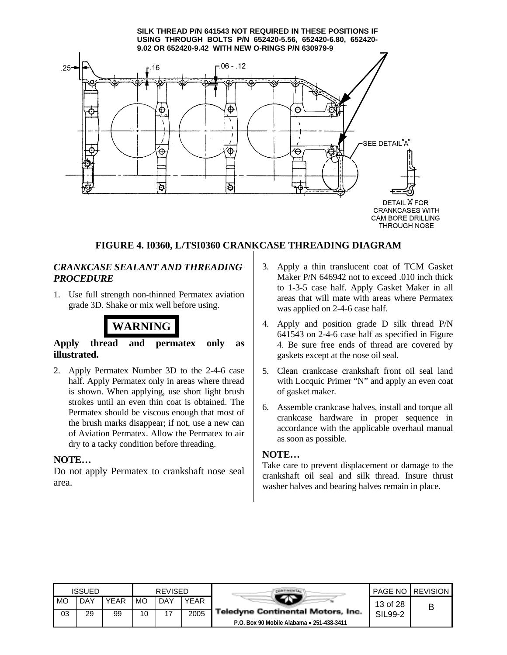#### **SILK THREAD P/N 641543 NOT REQUIRED IN THESE POSITIONS IF USING THROUGH BOLTS P/N 652420-5.56, 652420-6.80, 652420- 9.02 OR 652420-9.42 WITH NEW O-RINGS P/N 630979-9**



**CRANKCASES WITH** CAM BORE DRILLING **THROUGH NOSE** 

### **FIGURE 4. I0360, L/TSI0360 CRANKCASE THREADING DIAGRAM**

### *CRANKCASE SEALANT AND THREADING PROCEDURE*

1. Use full strength non-thinned Permatex aviation grade 3D. Shake or mix well before using.



### **Apply thread and permatex only as illustrated.**

2. Apply Permatex Number 3D to the 2-4-6 case half. Apply Permatex only in areas where thread is shown. When applying, use short light brush strokes until an even thin coat is obtained. The Permatex should be viscous enough that most of the brush marks disappear; if not, use a new can of Aviation Permatex. Allow the Permatex to air dry to a tacky condition before threading.

### **NOTE…**

Do not apply Permatex to crankshaft nose seal area.

- 3. Apply a thin translucent coat of TCM Gasket Maker P/N 646942 not to exceed .010 inch thick to 1-3-5 case half. Apply Gasket Maker in all areas that will mate with areas where Permatex was applied on 2-4-6 case half.
- 4. Apply and position grade D silk thread P/N 641543 on 2-4-6 case half as specified in Figure 4. Be sure free ends of thread are covered by gaskets except at the nose oil seal.
- 5. Clean crankcase crankshaft front oil seal land with Locquic Primer "N" and apply an even coat of gasket maker.
- 6. Assemble crankcase halves, install and torque all crankcase hardware in proper sequence in accordance with the applicable overhaul manual as soon as possible.

### **NOTE…**

|    | ISSUED |             | <b>REVISED</b> |     |      |                                           |          | <b>PAGE NO REVISION</b> |
|----|--------|-------------|----------------|-----|------|-------------------------------------------|----------|-------------------------|
| MO | DAY    | <b>YEAR</b> | MO             | DAY | YEAR |                                           | 13 of 28 | В                       |
| 03 | 29     | 99          | 10             | 17  | 2005 | <b>Teledyne Continental Motors, Inc.</b>  | SIL99-2  |                         |
|    |        |             |                |     |      | P.O. Box 90 Mobile Alabama • 251-438-3411 |          |                         |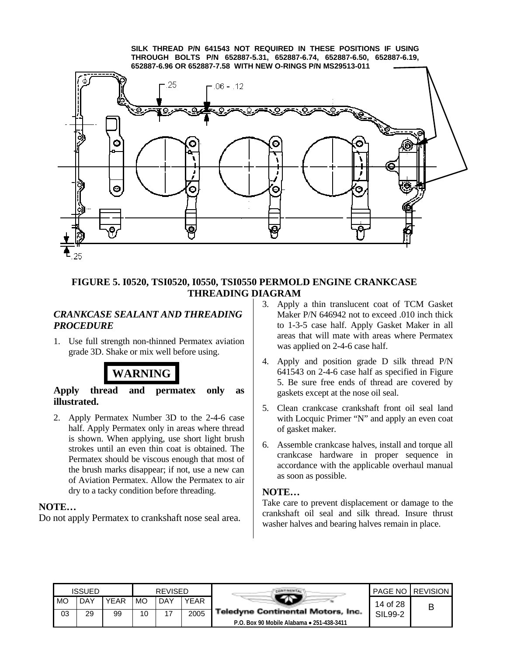**SILK THREAD P/N 641543 NOT REQUIRED IN THESE POSITIONS IF USING THROUGH BOLTS P/N 652887-5.31, 652887-6.74, 652887-6.50, 652887-6.19, 652887-6.96 OR 652887-7.58 WITH NEW O-RINGS P/N MS29513-011**



### **FIGURE 5. I0520, TSI0520, I0550, TSI0550 PERMOLD ENGINE CRANKCASE THREADING DIAGRAM**

### *CRANKCASE SEALANT AND THREADING PROCEDURE*

1. Use full strength non-thinned Permatex aviation grade 3D. Shake or mix well before using.



### **Apply thread and permatex only as illustrated.**

2. Apply Permatex Number 3D to the 2-4-6 case half. Apply Permatex only in areas where thread is shown. When applying, use short light brush strokes until an even thin coat is obtained. The Permatex should be viscous enough that most of the brush marks disappear; if not, use a new can of Aviation Permatex. Allow the Permatex to air dry to a tacky condition before threading.

### **NOTE…**

Do not apply Permatex to crankshaft nose seal area.

- 3. Apply a thin translucent coat of TCM Gasket Maker P/N 646942 not to exceed .010 inch thick to 1-3-5 case half. Apply Gasket Maker in all areas that will mate with areas where Permatex was applied on 2-4-6 case half.
- 4. Apply and position grade D silk thread P/N 641543 on 2-4-6 case half as specified in Figure 5. Be sure free ends of thread are covered by gaskets except at the nose oil seal.
- 5. Clean crankcase crankshaft front oil seal land with Locquic Primer "N" and apply an even coat of gasket maker.
- 6. Assemble crankcase halves, install and torque all crankcase hardware in proper sequence in accordance with the applicable overhaul manual as soon as possible.

### **NOTE…**

|           | <b>ISSUED</b> |      |           | <b>REVISED</b> |      |                                           |          | <b>PAGE NO REVISION</b> |
|-----------|---------------|------|-----------|----------------|------|-------------------------------------------|----------|-------------------------|
| <b>MO</b> | DAY           | YEAR | <b>MO</b> | <b>DAY</b>     | YEAR |                                           | 14 of 28 | В                       |
| 03        | 29            | 99   | 10        |                | 2005 | <b>Teledyne Continental Motors, Inc.</b>  | SIL99-2  |                         |
|           |               |      |           |                |      | P.O. Box 90 Mobile Alabama . 251-438-3411 |          |                         |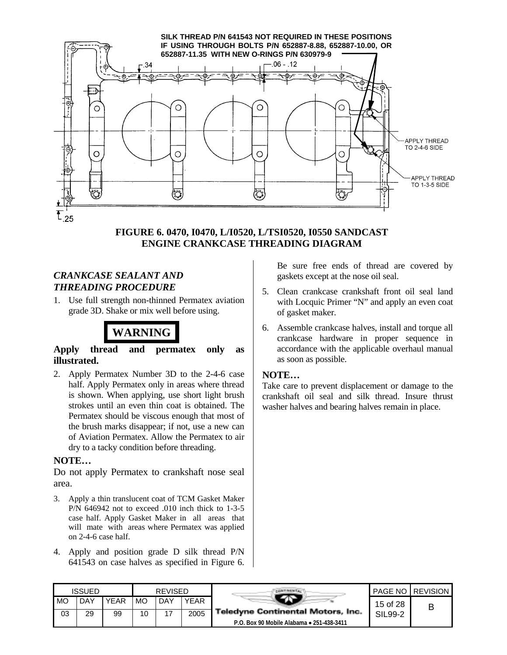

### **FIGURE 6. 0470, I0470, L/I0520, L/TSI0520, I0550 SANDCAST ENGINE CRANKCASE THREADING DIAGRAM**

### *CRANKCASE SEALANT AND THREADING PROCEDURE*

1. Use full strength non-thinned Permatex aviation grade 3D. Shake or mix well before using.



### **Apply thread and permatex only as illustrated.**

2. Apply Permatex Number 3D to the 2-4-6 case half. Apply Permatex only in areas where thread is shown. When applying, use short light brush strokes until an even thin coat is obtained. The Permatex should be viscous enough that most of the brush marks disappear; if not, use a new can of Aviation Permatex. Allow the Permatex to air dry to a tacky condition before threading.

### **NOTE…**

Do not apply Permatex to crankshaft nose seal area.

- 3. Apply a thin translucent coat of TCM Gasket Maker P/N 646942 not to exceed .010 inch thick to 1-3-5 case half. Apply Gasket Maker in all areas that will mate with areas where Permatex was applied on 2-4-6 case half.
- 4. Apply and position grade D silk thread P/N 641543 on case halves as specified in Figure 6.

Be sure free ends of thread are covered by gaskets except at the nose oil seal.

- 5. Clean crankcase crankshaft front oil seal land with Locquic Primer "N" and apply an even coat of gasket maker.
- 6. Assemble crankcase halves, install and torque all crankcase hardware in proper sequence in accordance with the applicable overhaul manual as soon as possible.

### **NOTE…**

|      | <b>ISSUED</b> |             |    | <b>REVISED</b> |             |                                           |          | <b>PAGE NO REVISION</b> |
|------|---------------|-------------|----|----------------|-------------|-------------------------------------------|----------|-------------------------|
| I MO | <b>DAY</b>    | <b>YEAR</b> | MO | <b>DAY</b>     | <b>YEAR</b> |                                           | 15 of 28 | В                       |
| 03   | 29            | 99          | 10 |                | 2005        | <b>Teledyne Continental Motors, Inc.</b>  | SIL99-2  |                         |
|      |               |             |    |                |             | P.O. Box 90 Mobile Alabama • 251-438-3411 |          |                         |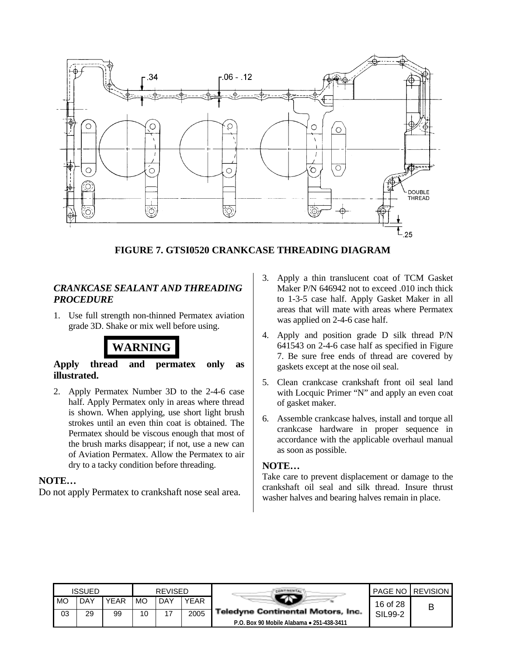

**FIGURE 7. GTSI0520 CRANKCASE THREADING DIAGRAM**

### *CRANKCASE SEALANT AND THREADING PROCEDURE*

1. Use full strength non-thinned Permatex aviation grade 3D. Shake or mix well before using.



### **Apply thread and permatex only as illustrated.**

2. Apply Permatex Number 3D to the 2-4-6 case half. Apply Permatex only in areas where thread is shown. When applying, use short light brush strokes until an even thin coat is obtained. The Permatex should be viscous enough that most of the brush marks disappear; if not, use a new can of Aviation Permatex. Allow the Permatex to air dry to a tacky condition before threading.

### **NOTE…**

Do not apply Permatex to crankshaft nose seal area.

- 3. Apply a thin translucent coat of TCM Gasket Maker P/N 646942 not to exceed .010 inch thick to 1-3-5 case half. Apply Gasket Maker in all areas that will mate with areas where Permatex was applied on 2-4-6 case half.
- 4. Apply and position grade D silk thread P/N 641543 on 2-4-6 case half as specified in Figure 7. Be sure free ends of thread are covered by gaskets except at the nose oil seal.
- 5. Clean crankcase crankshaft front oil seal land with Locquic Primer "N" and apply an even coat of gasket maker.
- 6. Assemble crankcase halves, install and torque all crankcase hardware in proper sequence in accordance with the applicable overhaul manual as soon as possible.

### **NOTE…**

|    | ISSUED |             |    | <b>REVISED</b> |      |                                           |          | <b>PAGE NO REVISION</b> |
|----|--------|-------------|----|----------------|------|-------------------------------------------|----------|-------------------------|
| MO | DAY    | <b>YEAR</b> | MO | DAY            | YEAR |                                           | 16 of 28 | В                       |
| 03 | 29     | 99          | 10 |                | 2005 | <b>Teledyne Continental Motors, Inc.</b>  | SIL99-2  |                         |
|    |        |             |    |                |      | P.O. Box 90 Mobile Alabama • 251-438-3411 |          |                         |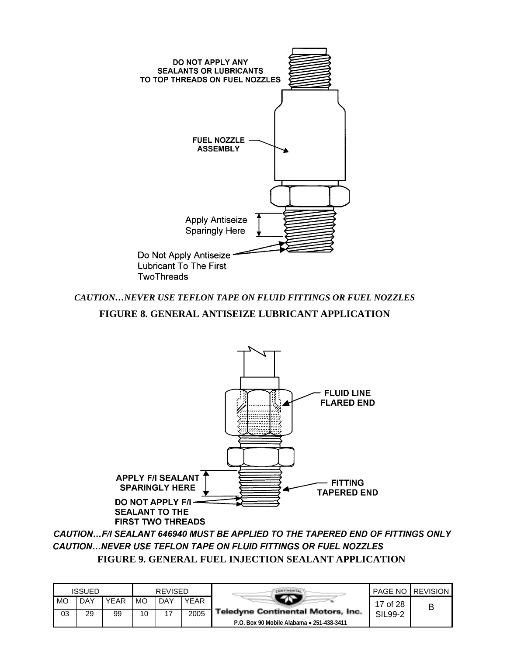

## *CAUTION…NEVER USE TEFLON TAPE ON FLUID FITTINGS OR FUEL NOZZLES* **FIGURE 8. GENERAL ANTISEIZE LUBRICANT APPLICATION**



CAUTION...F/I SEALANT 646940 MUST BE APPLIED TO THE TAPERED END OF FITTINGS ONLY CAUTION...NEVER USE TEFLON TAPE ON FLUID FITTINGS OR FUEL NOZZLES **FIGURE 9. GENERAL FUEL INJECTION SEALANT APPLICATION**

|    | <b>ISSUED</b> |      |    | <b>REVISED</b> |             |                                           |          | <b>PAGE NO I REVISION</b> |
|----|---------------|------|----|----------------|-------------|-------------------------------------------|----------|---------------------------|
| MO | <b>DAY</b>    | YEAR | МO | <b>DAY</b>     | <b>YEAR</b> |                                           | 17 of 28 |                           |
| 03 | 29            | 99   | 10 | 17             | 2005        | Teledyne Continental Motors, Inc.         | SIL99-2  |                           |
|    |               |      |    |                |             | P.O. Box 90 Mobile Alabama • 251-438-3411 |          |                           |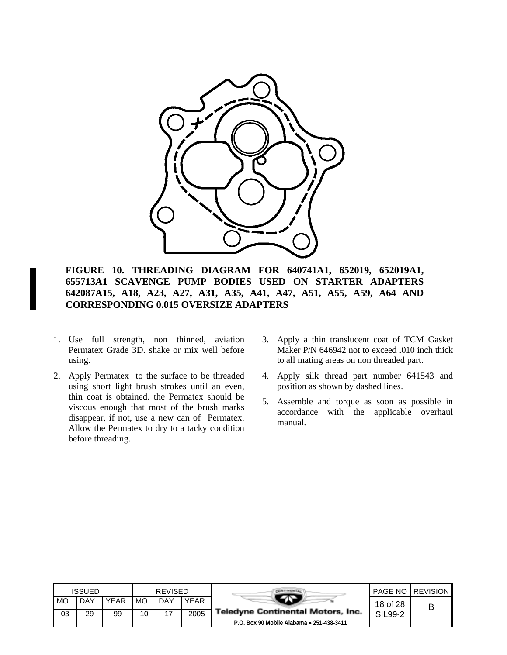

**FIGURE 10. THREADING DIAGRAM FOR 640741A1, 652019, 652019A1, 655713A1 SCAVENGE PUMP BODIES USED ON STARTER ADAPTERS 642087A15, A18, A23, A27, A31, A35, A41, A47, A51, A55, A59, A64 AND CORRESPONDING 0.015 OVERSIZE ADAPTERS**

- 1. Use full strength, non thinned, aviation Permatex Grade 3D. shake or mix well before using.
- 2. Apply Permatex to the surface to be threaded using short light brush strokes until an even, thin coat is obtained. the Permatex should be viscous enough that most of the brush marks disappear, if not, use a new can of Permatex. Allow the Permatex to dry to a tacky condition before threading.
- 3. Apply a thin translucent coat of TCM Gasket Maker P/N 646942 not to exceed .010 inch thick to all mating areas on non threaded part.
- 4. Apply silk thread part number 641543 and position as shown by dashed lines.
- 5. Assemble and torque as soon as possible in accordance with the applicable overhaul manual.

|      | <b>ISSUED</b> |      |    | <b>REVISED</b> |      |                                           |          | <b>PAGE NO LREVISION</b> |
|------|---------------|------|----|----------------|------|-------------------------------------------|----------|--------------------------|
| I MO | . DAY         | YEAR | MO | DAY            | YEAR |                                           | 18 of 28 |                          |
| 03   | 29            | 99   | 10 |                | 2005 | <b>Teledyne Continental Motors, Inc.</b>  | SIL99-2  |                          |
|      |               |      |    |                |      | P.O. Box 90 Mobile Alabama • 251-438-3411 |          |                          |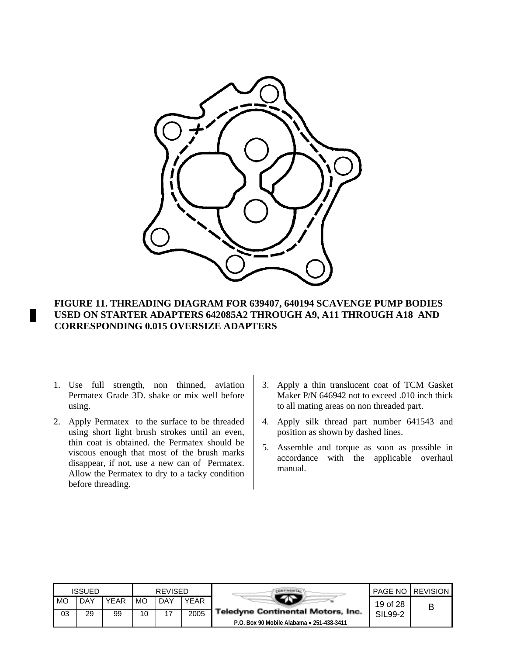

### **FIGURE 11. THREADING DIAGRAM FOR 639407, 640194 SCAVENGE PUMP BODIES USED ON STARTER ADAPTERS 642085A2 THROUGH A9, A11 THROUGH A18 AND CORRESPONDING 0.015 OVERSIZE ADAPTERS**

- 1. Use full strength, non thinned, aviation Permatex Grade 3D. shake or mix well before using.
- 2. Apply Permatex to the surface to be threaded using short light brush strokes until an even, thin coat is obtained. the Permatex should be viscous enough that most of the brush marks disappear, if not, use a new can of Permatex. Allow the Permatex to dry to a tacky condition before threading.
- 3. Apply a thin translucent coat of TCM Gasket Maker P/N 646942 not to exceed .010 inch thick to all mating areas on non threaded part.
- 4. Apply silk thread part number 641543 and position as shown by dashed lines.
- 5. Assemble and torque as soon as possible in accordance with the applicable overhaul manual.

|      | <b>ISSUED</b> |      |    | <b>REVISED</b> |             |                                           |          | <b>PAGE NO I REVISION</b> |
|------|---------------|------|----|----------------|-------------|-------------------------------------------|----------|---------------------------|
| I MO | DAY           | YEAR | MO | DAY            | <b>YEAR</b> |                                           | 19 of 28 |                           |
| 03   | 29            | 99   | 10 | 17             | 2005        | <b>Teledyne Continental Motors, Inc.</b>  | SIL99-2  |                           |
|      |               |      |    |                |             | P.O. Box 90 Mobile Alabama . 251-438-3411 |          |                           |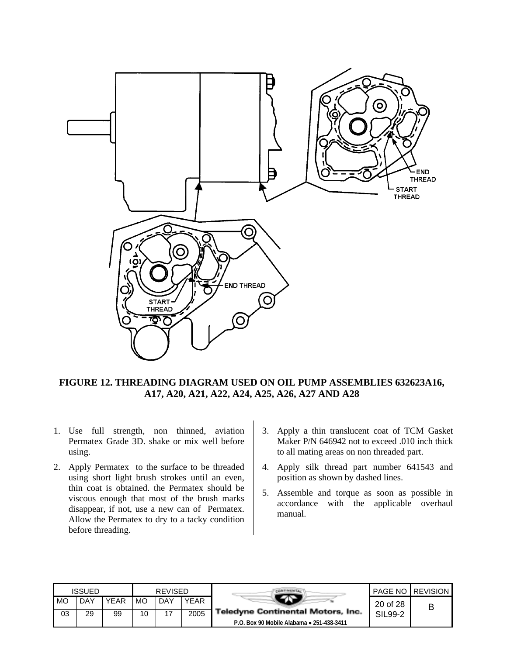

**FIGURE 12. THREADING DIAGRAM USED ON OIL PUMP ASSEMBLIES 632623A16, A17, A20, A21, A22, A24, A25, A26, A27 AND A28**

- 1. Use full strength, non thinned, aviation Permatex Grade 3D. shake or mix well before using.
- 2. Apply Permatex to the surface to be threaded using short light brush strokes until an even, thin coat is obtained. the Permatex should be viscous enough that most of the brush marks disappear, if not, use a new can of Permatex. Allow the Permatex to dry to a tacky condition before threading.
- 3. Apply a thin translucent coat of TCM Gasket Maker P/N 646942 not to exceed .010 inch thick to all mating areas on non threaded part.
- 4. Apply silk thread part number 641543 and position as shown by dashed lines.
- 5. Assemble and torque as soon as possible in accordance with the applicable overhaul manual.

|    | ISSUED |             |    | <b>REVISED</b> |      |                                           |          | <b>PAGE NO REVISION</b> |
|----|--------|-------------|----|----------------|------|-------------------------------------------|----------|-------------------------|
| MO | DAY    | <b>YEAR</b> | MO | DAY            | YEAR |                                           | 20 of 28 |                         |
| 03 | 29     | 99          | 10 |                | 2005 | <b>Teledyne Continental Motors, Inc.</b>  | SIL99-2  |                         |
|    |        |             |    |                |      | P.O. Box 90 Mobile Alabama • 251-438-3411 |          |                         |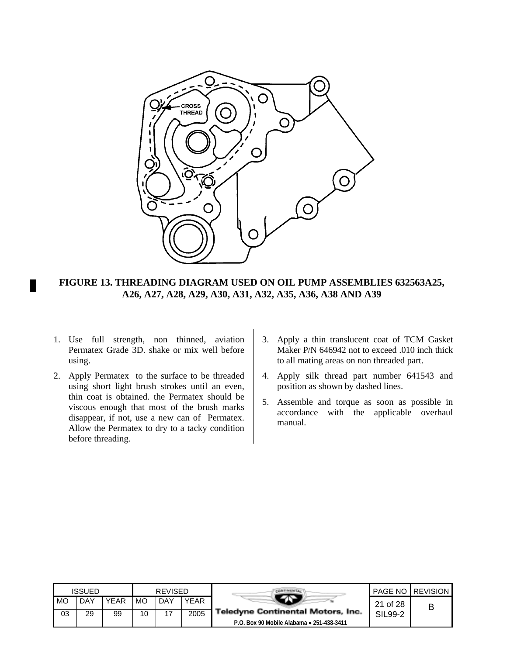

**FIGURE 13. THREADING DIAGRAM USED ON OIL PUMP ASSEMBLIES 632563A25, A26, A27, A28, A29, A30, A31, A32, A35, A36, A38 AND A39**

- 1. Use full strength, non thinned, aviation Permatex Grade 3D. shake or mix well before using.
- 2. Apply Permatex to the surface to be threaded using short light brush strokes until an even, thin coat is obtained. the Permatex should be viscous enough that most of the brush marks disappear, if not, use a new can of Permatex. Allow the Permatex to dry to a tacky condition before threading.
- 3. Apply a thin translucent coat of TCM Gasket Maker P/N 646942 not to exceed .010 inch thick to all mating areas on non threaded part.
- 4. Apply silk thread part number 641543 and position as shown by dashed lines.
- 5. Assemble and torque as soon as possible in accordance with the applicable overhaul manual.

|    | ISSUED |             |    | <b>REVISED</b> |             |                                           |          | <b>PAGE NO REVISION</b> |
|----|--------|-------------|----|----------------|-------------|-------------------------------------------|----------|-------------------------|
| MO | DAY    | <b>YEAR</b> | МO | DAY            | <b>YEAR</b> |                                           | 21 of 28 | В                       |
| 03 | 29     | 99          | 10 | 17             | 2005        | <b>Teledyne Continental Motors, Inc.</b>  | SIL99-2  |                         |
|    |        |             |    |                |             | P.O. Box 90 Mobile Alabama • 251-438-3411 |          |                         |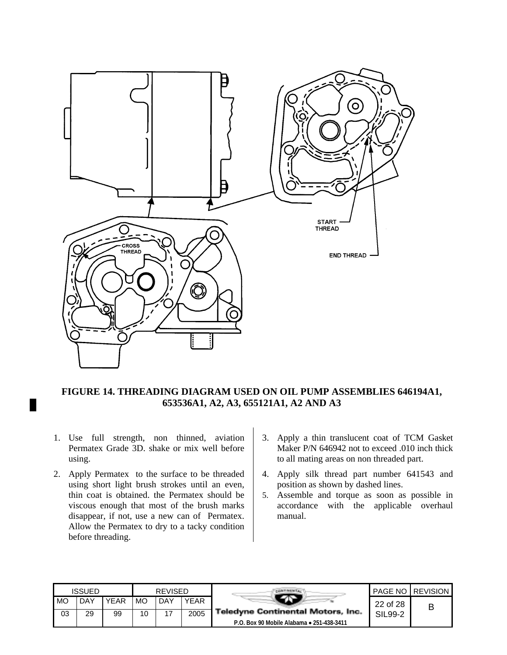

### **FIGURE 14. THREADING DIAGRAM USED ON OIL PUMP ASSEMBLIES 646194A1, 653536A1, A2, A3, 655121A1, A2 AND A3**

- 1. Use full strength, non thinned, aviation Permatex Grade 3D. shake or mix well before using.
- 2. Apply Permatex to the surface to be threaded using short light brush strokes until an even, thin coat is obtained. the Permatex should be viscous enough that most of the brush marks disappear, if not, use a new can of Permatex. Allow the Permatex to dry to a tacky condition before threading.
- 3. Apply a thin translucent coat of TCM Gasket Maker P/N 646942 not to exceed .010 inch thick to all mating areas on non threaded part.
- 4. Apply silk thread part number 641543 and position as shown by dashed lines.
- 5. Assemble and torque as soon as possible in accordance with the applicable overhaul manual.

|      | <b>ISSUED</b> |             |    | <b>REVISED</b> |             |                                           |          | <b>PAGE NO REVISION</b> |
|------|---------------|-------------|----|----------------|-------------|-------------------------------------------|----------|-------------------------|
| I MO | <b>DAY</b>    | <b>YEAR</b> | MO | <b>DAY</b>     | <b>YEAR</b> |                                           | 22 of 28 |                         |
| 03   | 29            | 99          | 10 |                | 2005        | <b>Teledyne Continental Motors, Inc.</b>  | SIL99-2  |                         |
|      |               |             |    |                |             | P.O. Box 90 Mobile Alabama • 251-438-3411 |          |                         |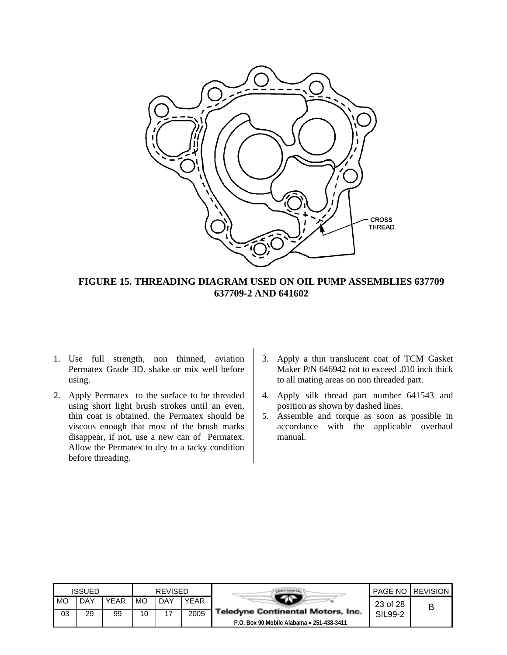

### **FIGURE 15. THREADING DIAGRAM USED ON OIL PUMP ASSEMBLIES 637709 637709-2 AND 641602**

- 1. Use full strength, non thinned, aviation Permatex Grade 3D. shake or mix well before using.
- 2. Apply Permatex to the surface to be threaded using short light brush strokes until an even, thin coat is obtained. the Permatex should be viscous enough that most of the brush marks disappear, if not, use a new can of Permatex. Allow the Permatex to dry to a tacky condition before threading.
- 3. Apply a thin translucent coat of TCM Gasket Maker P/N 646942 not to exceed .010 inch thick to all mating areas on non threaded part.
- 4. Apply silk thread part number 641543 and position as shown by dashed lines.
- 5. Assemble and torque as soon as possible in accordance with the applicable overhaul manual.

|      | <b>ISSUED</b> |      |    | <b>REVISED</b> |             |                                           |          | <b>PAGE NO REVISION</b> |
|------|---------------|------|----|----------------|-------------|-------------------------------------------|----------|-------------------------|
| I MO | DAY           | YEAR | MO | DAY            | <b>YEAR</b> |                                           | 23 of 28 |                         |
| 03   | 29            | 99   | 10 |                | 2005        | Teledyne Continental Motors, Inc.         | SIL99-2  |                         |
|      |               |      |    |                |             | P.O. Box 90 Mobile Alabama • 251-438-3411 |          |                         |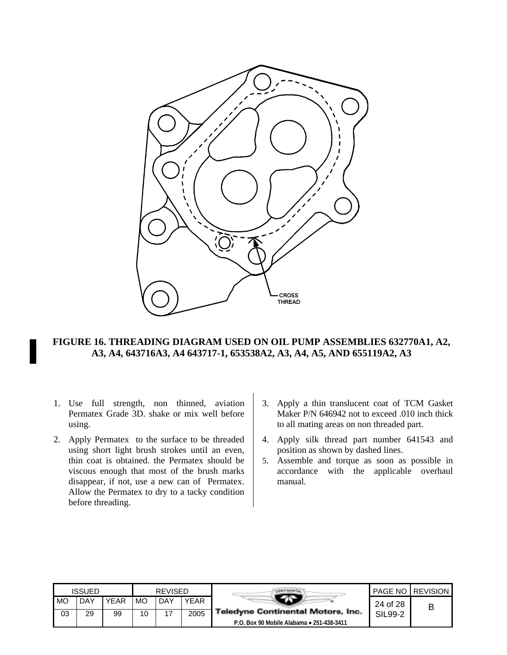

### **FIGURE 16. THREADING DIAGRAM USED ON OIL PUMP ASSEMBLIES 632770A1, A2, A3, A4, 643716A3, A4 643717-1, 653538A2, A3, A4, A5, AND 655119A2, A3**

- 1. Use full strength, non thinned, aviation Permatex Grade 3D. shake or mix well before using.
- 2. Apply Permatex to the surface to be threaded using short light brush strokes until an even, thin coat is obtained. the Permatex should be viscous enough that most of the brush marks disappear, if not, use a new can of Permatex. Allow the Permatex to dry to a tacky condition before threading.
- 3. Apply a thin translucent coat of TCM Gasket Maker P/N 646942 not to exceed .010 inch thick to all mating areas on non threaded part.
- 4. Apply silk thread part number 641543 and position as shown by dashed lines.
- 5. Assemble and torque as soon as possible in accordance with the applicable overhaul manual.

|    | ISSUED |             |    | <b>REVISED</b> |      |                                           |          | <b>PAGE NO REVISION</b> |
|----|--------|-------------|----|----------------|------|-------------------------------------------|----------|-------------------------|
| MO | DAY    | <b>YEAR</b> | MO | DAY            | YEAR |                                           | 24 of 28 | В                       |
| 03 | 29     | 99          | 10 |                | 2005 | <b>Teledyne Continental Motors, Inc.</b>  | SIL99-2  |                         |
|    |        |             |    |                |      | P.O. Box 90 Mobile Alabama • 251-438-3411 |          |                         |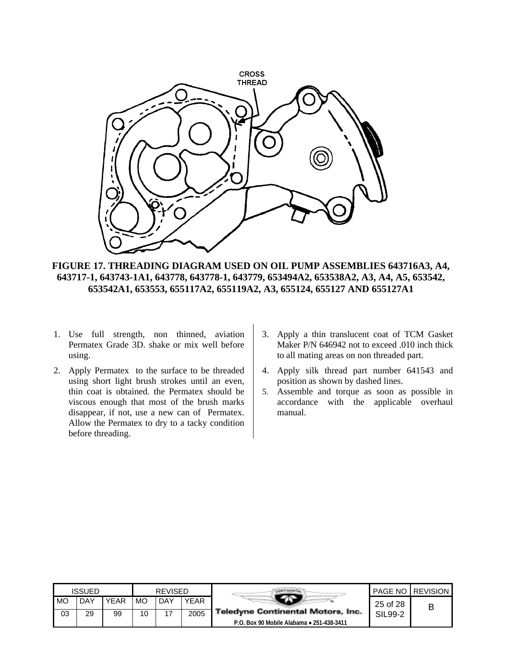

**FIGURE 17. THREADING DIAGRAM USED ON OIL PUMP ASSEMBLIES 643716A3, A4, 643717-1, 643743-1A1, 643778, 643778-1, 643779, 653494A2, 653538A2, A3, A4, A5, 653542, 653542A1, 653553, 655117A2, 655119A2, A3, 655124, 655127 AND 655127A1**

- 1. Use full strength, non thinned, aviation Permatex Grade 3D. shake or mix well before using.
- 2. Apply Permatex to the surface to be threaded using short light brush strokes until an even, thin coat is obtained. the Permatex should be viscous enough that most of the brush marks disappear, if not, use a new can of Permatex. Allow the Permatex to dry to a tacky condition before threading.
- 3. Apply a thin translucent coat of TCM Gasket Maker P/N 646942 not to exceed .010 inch thick to all mating areas on non threaded part.
- 4. Apply silk thread part number 641543 and position as shown by dashed lines.
- 5. Assemble and torque as soon as possible in accordance with the applicable overhaul manual.

|    | <b>ISSUED</b> |             |    | <b>REVISED</b> |             |                                           |          | <b>PAGE NO REVISION</b> |
|----|---------------|-------------|----|----------------|-------------|-------------------------------------------|----------|-------------------------|
| MO | DAY           | <b>YEAR</b> | MO | DAY            | <b>YEAR</b> |                                           | 25 of 28 |                         |
| 03 | 29            | 99          | 10 | 17             | 2005        | <b>Teledyne Continental Motors, Inc.</b>  | SIL99-2  |                         |
|    |               |             |    |                |             | P.O. Box 90 Mobile Alabama • 251-438-3411 |          |                         |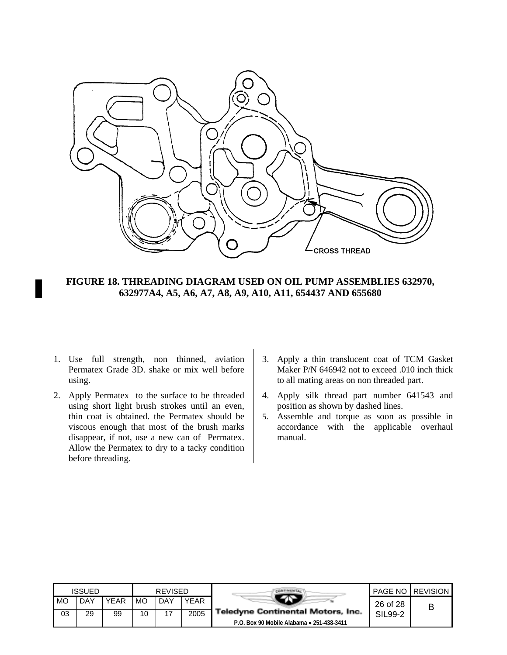

**FIGURE 18. THREADING DIAGRAM USED ON OIL PUMP ASSEMBLIES 632970, 632977A4, A5, A6, A7, A8, A9, A10, A11, 654437 AND 655680**

- 1. Use full strength, non thinned, aviation Permatex Grade 3D. shake or mix well before using.
- 2. Apply Permatex to the surface to be threaded using short light brush strokes until an even, thin coat is obtained. the Permatex should be viscous enough that most of the brush marks disappear, if not, use a new can of Permatex. Allow the Permatex to dry to a tacky condition before threading.
- 3. Apply a thin translucent coat of TCM Gasket Maker P/N 646942 not to exceed .010 inch thick to all mating areas on non threaded part.
- 4. Apply silk thread part number 641543 and position as shown by dashed lines.
- 5. Assemble and torque as soon as possible in accordance with the applicable overhaul manual.

|    | <b>ISSUED</b> |      |    | <b>REVISED</b> |             |                                           |          | <b>PAGE NO REVISION</b> |
|----|---------------|------|----|----------------|-------------|-------------------------------------------|----------|-------------------------|
| MO | DAY           | YEAR | MO | <b>DAY</b>     | <b>YEAR</b> |                                           | 26 of 28 |                         |
| 03 | 29            | 99   | 10 |                | 2005        | <b>Teledyne Continental Motors, Inc.</b>  | SIL99-2  |                         |
|    |               |      |    |                |             | P.O. Box 90 Mobile Alabama • 251-438-3411 |          |                         |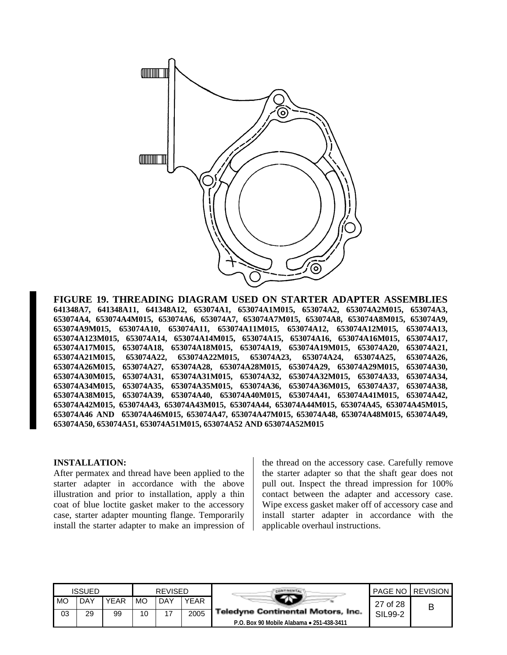

**FIGURE 19. THREADING DIAGRAM USED ON STARTER ADAPTER ASSEMBLIES 641348A7, 641348A11, 641348A12, 653074A1, 653074A1M015, 653074A2, 653074A2M015, 653074A3, 653074A4, 653074A4M015, 653074A6, 653074A7, 653074A7M015, 653074A8, 653074A8M015, 653074A9, 653074A9M015, 653074A10, 653074A11, 653074A11M015, 653074A12, 653074A12M015, 653074A13, 653074A123M015, 653074A14, 653074A14M015, 653074A15, 653074A16, 653074A16M015, 653074A17, 653074A17M015, 653074A18, 653074A18M015, 653074A19, 653074A19M015, 653074A20, 653074A21, 653074A21M015, 653074A22, 653074A22M015, 653074A23, 653074A24, 653074A25, 653074A26, 653074A26M015, 653074A27, 653074A28, 653074A28M015, 653074A29, 653074A29M015, 653074A30, 653074A30M015, 653074A31, 653074A31M015, 653074A32, 653074A32M015, 653074A33, 653074A34, 653074A34M015, 653074A35, 653074A35M015, 653074A36, 653074A36M015, 653074A37, 653074A38, 653074A38M015, 653074A39, 653074A40, 653074A40M015, 653074A41, 653074A41M015, 653074A42, 653074A42M015, 653074A43, 653074A43M015, 653074A44, 653074A44M015, 653074A45, 653074A45M015, 653074A46 AND 653074A46M015, 653074A47, 653074A47M015, 653074A48, 653074A48M015, 653074A49, 653074A50, 653074A51, 653074A51M015, 653074A52 AND 653074A52M015**

#### **INSTALLATION:**

After permatex and thread have been applied to the starter adapter in accordance with the above illustration and prior to installation, apply a thin coat of blue loctite gasket maker to the accessory case, starter adapter mounting flange. Temporarily install the starter adapter to make an impression of

the thread on the accessory case. Carefully remove the starter adapter so that the shaft gear does not pull out. Inspect the thread impression for 100% contact between the adapter and accessory case. Wipe excess gasket maker off of accessory case and install starter adapter in accordance with the applicable overhaul instructions.

| <b>ISSUED</b> |     |             | <b>REVISED</b> |                |             |                                           |          | <b>PAGE NO I REVISION</b> |
|---------------|-----|-------------|----------------|----------------|-------------|-------------------------------------------|----------|---------------------------|
| <b>MO</b>     | DAY | <b>YEAR</b> | MO             | <b>DAY</b>     | <b>YEAR</b> | <b>Teledyne Continental Motors, Inc.</b>  | 27 of 28 |                           |
| 03            | 29  | 99          | 10             | $\overline{ }$ | 2005        |                                           | SIL99-2  |                           |
|               |     |             |                |                |             | P.O. Box 90 Mobile Alabama • 251-438-3411 |          |                           |